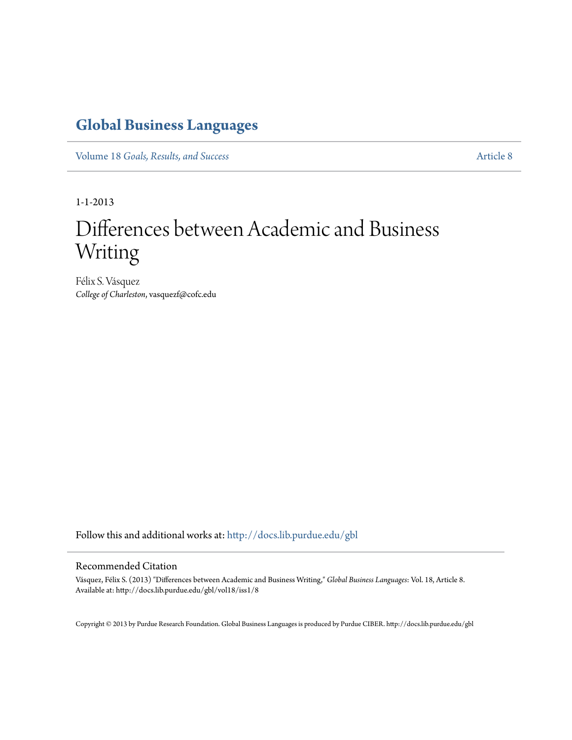## **[Global Business Languages](http://docs.lib.purdue.edu/gbl?utm_source=docs.lib.purdue.edu%2Fgbl%2Fvol18%2Fiss1%2F8&utm_medium=PDF&utm_campaign=PDFCoverPages)**

Volume 18 *[Goals, Results, and Success](http://docs.lib.purdue.edu/gbl/vol18?utm_source=docs.lib.purdue.edu%2Fgbl%2Fvol18%2Fiss1%2F8&utm_medium=PDF&utm_campaign=PDFCoverPages)* [Article 8](http://docs.lib.purdue.edu/gbl/vol18/iss1/8?utm_source=docs.lib.purdue.edu%2Fgbl%2Fvol18%2Fiss1%2F8&utm_medium=PDF&utm_campaign=PDFCoverPages)

1-1-2013

# Differences between Academic and Business Writing

Félix S. Vásquez *College of Charleston*, vasquezf@cofc.edu

Follow this and additional works at: [http://docs.lib.purdue.edu/gbl](http://docs.lib.purdue.edu/gbl?utm_source=docs.lib.purdue.edu%2Fgbl%2Fvol18%2Fiss1%2F8&utm_medium=PDF&utm_campaign=PDFCoverPages)

#### Recommended Citation

Vásquez, Félix S. (2013) "Differences between Academic and Business Writing," *Global Business Languages*: Vol. 18, Article 8. Available at: http://docs.lib.purdue.edu/gbl/vol18/iss1/8

Copyright © 2013 by Purdue Research Foundation. Global Business Languages is produced by Purdue CIBER. http://docs.lib.purdue.edu/gbl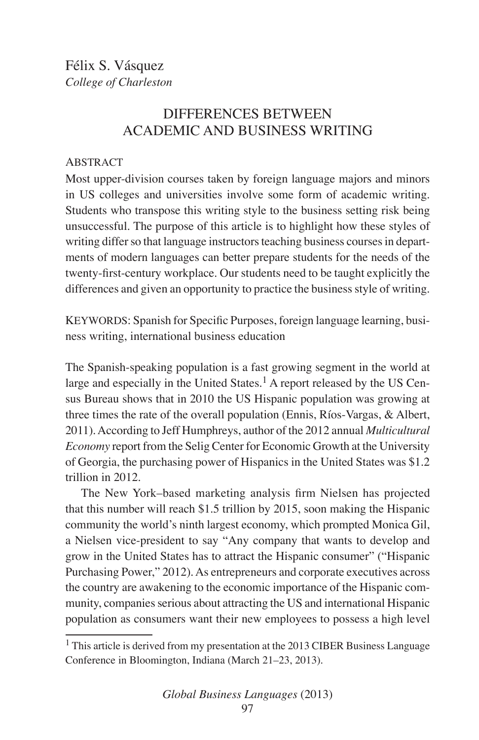### DIFFERENCES BETWEEN ACADEMIC AND BUSINESS WRITING

#### **ABSTRACT**

Most upper-division courses taken by foreign language majors and minors in US colleges and universities involve some form of academic writing. Students who transpose this writing style to the business setting risk being unsuccessful. The purpose of this article is to highlight how these styles of writing differ so that language instructors teaching business courses in departments of modern languages can better prepare students for the needs of the twenty-first-century workplace. Our students need to be taught explicitly the differences and given an opportunity to practice the business style of writing.

KEYWORDS: Spanish for Specific Purposes, foreign language learning, business writing, international business education

The Spanish-speaking population is a fast growing segment in the world at large and especially in the United States.<sup>1</sup> A report released by the US Census Bureau shows that in 2010 the US Hispanic population was growing at three times the rate of the overall population (Ennis, Ríos-Vargas, & Albert, 2011). According to Jeff Humphreys, author of the 2012 annual *Multicultural Economy* report from the Selig Center for Economic Growth at the University of Georgia, the purchasing power of Hispanics in the United States was \$1.2 trillion in 2012.

The New York–based marketing analysis firm Nielsen has projected that this number will reach \$1.5 trillion by 2015, soon making the Hispanic community the world's ninth largest economy, which prompted Monica Gil, a Nielsen vice-president to say "Any company that wants to develop and grow in the United States has to attract the Hispanic consumer" ("Hispanic Purchasing Power," 2012). As entrepreneurs and corporate executives across the country are awakening to the economic importance of the Hispanic community, companies serious about attracting the US and international Hispanic population as consumers want their new employees to possess a high level

 $1$  This article is derived from my presentation at the 2013 CIBER Business Language Conference in Bloomington, Indiana (March 21–23, 2013).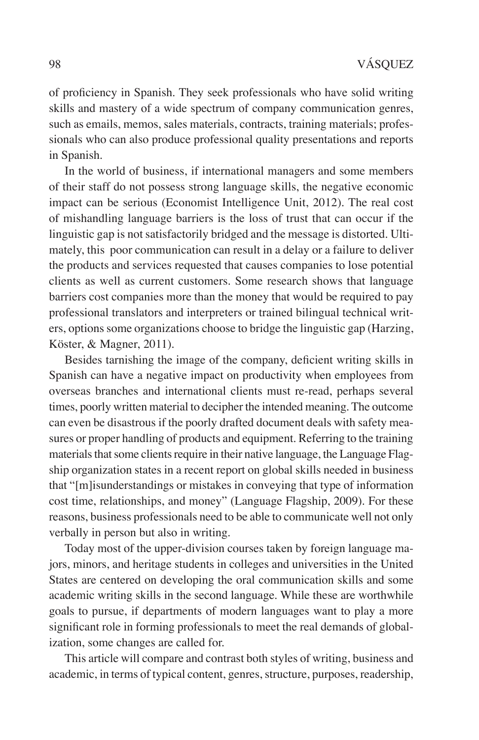of proficiency in Spanish. They seek professionals who have solid writing skills and mastery of a wide spectrum of company communication genres, such as emails, memos, sales materials, contracts, training materials; professionals who can also produce professional quality presentations and reports in Spanish.

In the world of business, if international managers and some members of their staff do not possess strong language skills, the negative economic impact can be serious (Economist Intelligence Unit, 2012). The real cost of mishandling language barriers is the loss of trust that can occur if the linguistic gap is not satisfactorily bridged and the message is distorted. Ultimately, this poor communication can result in a delay or a failure to deliver the products and services requested that causes companies to lose potential clients as well as current customers. Some research shows that language barriers cost companies more than the money that would be required to pay professional translators and interpreters or trained bilingual technical writers, options some organizations choose to bridge the linguistic gap (Harzing, Köster, & Magner, 2011).

Besides tarnishing the image of the company, deficient writing skills in Spanish can have a negative impact on productivity when employees from overseas branches and international clients must re-read, perhaps several times, poorly written material to decipher the intended meaning. The outcome can even be disastrous if the poorly drafted document deals with safety measures or proper handling of products and equipment. Referring to the training materials that some clients require in their native language, the Language Flagship organization states in a recent report on global skills needed in business that "[m]isunderstandings or mistakes in conveying that type of information cost time, relationships, and money" (Language Flagship, 2009). For these reasons, business professionals need to be able to communicate well not only verbally in person but also in writing.

Today most of the upper-division courses taken by foreign language majors, minors, and heritage students in colleges and universities in the United States are centered on developing the oral communication skills and some academic writing skills in the second language. While these are worthwhile goals to pursue, if departments of modern languages want to play a more significant role in forming professionals to meet the real demands of globalization, some changes are called for.

This article will compare and contrast both styles of writing, business and academic, in terms of typical content, genres, structure, purposes, readership,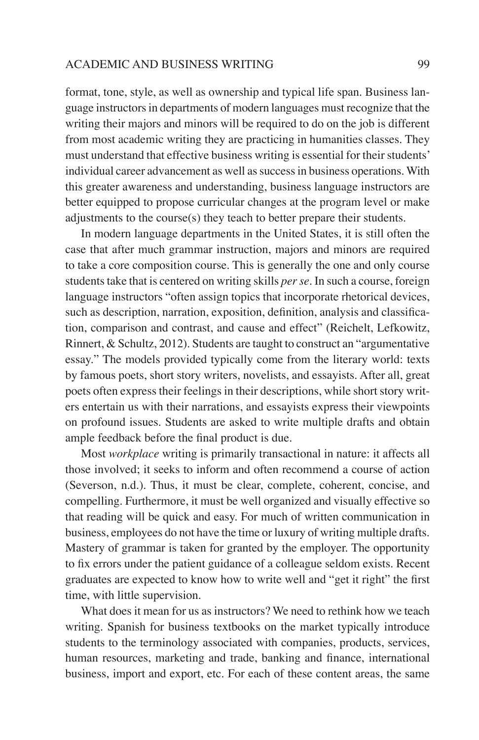#### ACADEMIC AND BUSINESS WRITING 99

format, tone, style, as well as ownership and typical life span. Business language instructors in departments of modern languages must recognize that the writing their majors and minors will be required to do on the job is different from most academic writing they are practicing in humanities classes. They must understand that effective business writing is essential for their students' individual career advancement as well as success in business operations. With this greater awareness and understanding, business language instructors are better equipped to propose curricular changes at the program level or make adjustments to the course(s) they teach to better prepare their students.

In modern language departments in the United States, it is still often the case that after much grammar instruction, majors and minors are required to take a core composition course. This is generally the one and only course students take that is centered on writing skills *per se*. In such a course, foreign language instructors "often assign topics that incorporate rhetorical devices, such as description, narration, exposition, definition, analysis and classification, comparison and contrast, and cause and effect" (Reichelt, Lefkowitz, Rinnert, & Schultz, 2012). Students are taught to construct an "argumentative essay." The models provided typically come from the literary world: texts by famous poets, short story writers, novelists, and essayists. After all, great poets often express their feelings in their descriptions, while short story writers entertain us with their narrations, and essayists express their viewpoints on profound issues. Students are asked to write multiple drafts and obtain ample feedback before the final product is due.

Most *workplace* writing is primarily transactional in nature: it affects all those involved; it seeks to inform and often recommend a course of action (Severson, n.d.). Thus, it must be clear, complete, coherent, concise, and compelling. Furthermore, it must be well organized and visually effective so that reading will be quick and easy. For much of written communication in business, employees do not have the time or luxury of writing multiple drafts. Mastery of grammar is taken for granted by the employer. The opportunity to fix errors under the patient guidance of a colleague seldom exists. Recent graduates are expected to know how to write well and "get it right" the first time, with little supervision.

What does it mean for us as instructors? We need to rethink how we teach writing. Spanish for business textbooks on the market typically introduce students to the terminology associated with companies, products, services, human resources, marketing and trade, banking and finance, international business, import and export, etc. For each of these content areas, the same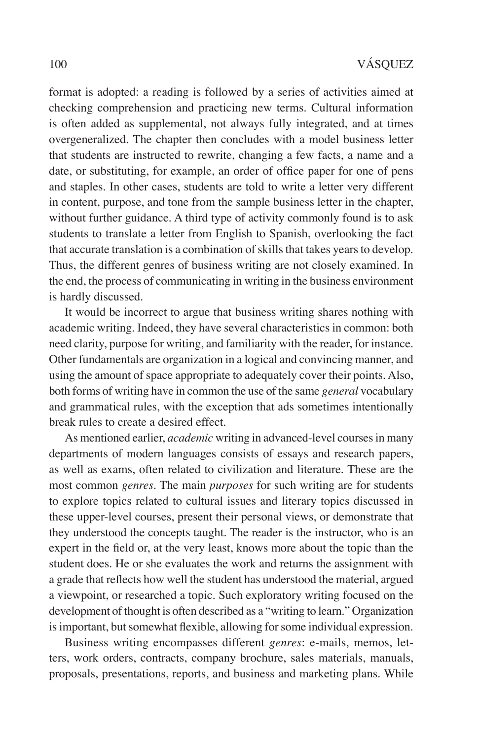format is adopted: a reading is followed by a series of activities aimed at checking comprehension and practicing new terms. Cultural information is often added as supplemental, not always fully integrated, and at times overgeneralized. The chapter then concludes with a model business letter that students are instructed to rewrite, changing a few facts, a name and a date, or substituting, for example, an order of office paper for one of pens and staples. In other cases, students are told to write a letter very different in content, purpose, and tone from the sample business letter in the chapter, without further guidance. A third type of activity commonly found is to ask students to translate a letter from English to Spanish, overlooking the fact that accurate translation is a combination of skills that takes years to develop. Thus, the different genres of business writing are not closely examined. In the end, the process of communicating in writing in the business environment is hardly discussed.

It would be incorrect to argue that business writing shares nothing with academic writing. Indeed, they have several characteristics in common: both need clarity, purpose for writing, and familiarity with the reader, for instance. Other fundamentals are organization in a logical and convincing manner, and using the amount of space appropriate to adequately cover their points. Also, both forms of writing have in common the use of the same *general* vocabulary and grammatical rules, with the exception that ads sometimes intentionally break rules to create a desired effect.

As mentioned earlier, *academic* writing in advanced-level courses in many departments of modern languages consists of essays and research papers, as well as exams, often related to civilization and literature. These are the most common *genres*. The main *purposes* for such writing are for students to explore topics related to cultural issues and literary topics discussed in these upper-level courses, present their personal views, or demonstrate that they understood the concepts taught. The reader is the instructor, who is an expert in the field or, at the very least, knows more about the topic than the student does. He or she evaluates the work and returns the assignment with a grade that reflects how well the student has understood the material, argued a viewpoint, or researched a topic. Such exploratory writing focused on the development of thought is often described as a "writing to learn." Organization is important, but somewhat flexible, allowing for some individual expression.

Business writing encompasses different *genres*: e-mails, memos, letters, work orders, contracts, company brochure, sales materials, manuals, proposals, presentations, reports, and business and marketing plans. While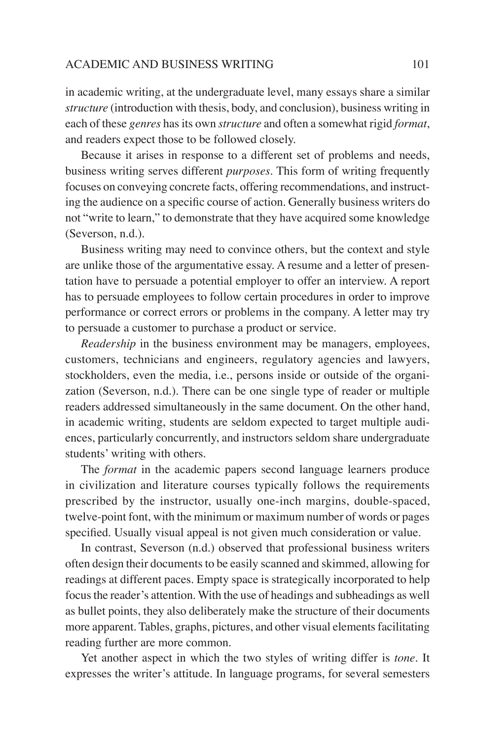#### ACADEMIC AND BUSINESS WRITING 101

in academic writing, at the undergraduate level, many essays share a similar *structure* (introduction with thesis, body, and conclusion), business writing in each of these *genres* has its own *structure* and often a somewhat rigid *format*, and readers expect those to be followed closely.

Because it arises in response to a different set of problems and needs, business writing serves different *purposes*. This form of writing frequently focuses on conveying concrete facts, offering recommendations, and instructing the audience on a specific course of action. Generally business writers do not "write to learn," to demonstrate that they have acquired some knowledge (Severson, n.d.).

Business writing may need to convince others, but the context and style are unlike those of the argumentative essay. A resume and a letter of presentation have to persuade a potential employer to offer an interview. A report has to persuade employees to follow certain procedures in order to improve performance or correct errors or problems in the company. A letter may try to persuade a customer to purchase a product or service.

*Readership* in the business environment may be managers, employees, customers, technicians and engineers, regulatory agencies and lawyers, stockholders, even the media, i.e., persons inside or outside of the organization (Severson, n.d.). There can be one single type of reader or multiple readers addressed simultaneously in the same document. On the other hand, in academic writing, students are seldom expected to target multiple audiences, particularly concurrently, and instructors seldom share undergraduate students' writing with others.

The *format* in the academic papers second language learners produce in civilization and literature courses typically follows the requirements prescribed by the instructor, usually one-inch margins, double-spaced, twelve-point font, with the minimum or maximum number of words or pages specified. Usually visual appeal is not given much consideration or value.

In contrast, Severson (n.d.) observed that professional business writers often design their documents to be easily scanned and skimmed, allowing for readings at different paces. Empty space is strategically incorporated to help focus the reader's attention. With the use of headings and subheadings as well as bullet points, they also deliberately make the structure of their documents more apparent. Tables, graphs, pictures, and other visual elements facilitating reading further are more common.

Yet another aspect in which the two styles of writing differ is *tone*. It expresses the writer's attitude. In language programs, for several semesters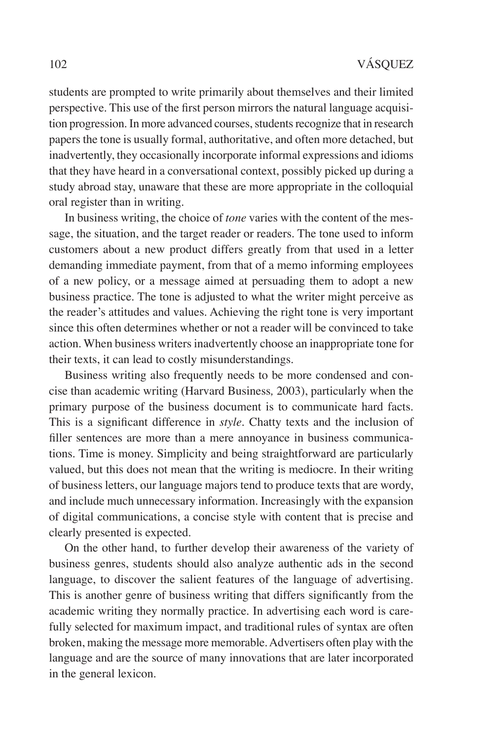students are prompted to write primarily about themselves and their limited perspective. This use of the first person mirrors the natural language acquisition progression. In more advanced courses, students recognize that in research papers the tone is usually formal, authoritative, and often more detached, but inadvertently, they occasionally incorporate informal expressions and idioms that they have heard in a conversational context, possibly picked up during a study abroad stay, unaware that these are more appropriate in the colloquial oral register than in writing.

In business writing, the choice of *tone* varies with the content of the message, the situation, and the target reader or readers. The tone used to inform customers about a new product differs greatly from that used in a letter demanding immediate payment, from that of a memo informing employees of a new policy, or a message aimed at persuading them to adopt a new business practice. The tone is adjusted to what the writer might perceive as the reader's attitudes and values. Achieving the right tone is very important since this often determines whether or not a reader will be convinced to take action. When business writers inadvertently choose an inappropriate tone for their texts, it can lead to costly misunderstandings.

Business writing also frequently needs to be more condensed and concise than academic writing (Harvard Business*,* 2003), particularly when the primary purpose of the business document is to communicate hard facts. This is a significant difference in *style*. Chatty texts and the inclusion of filler sentences are more than a mere annoyance in business communications. Time is money. Simplicity and being straightforward are particularly valued, but this does not mean that the writing is mediocre. In their writing of business letters, our language majors tend to produce texts that are wordy, and include much unnecessary information. Increasingly with the expansion of digital communications, a concise style with content that is precise and clearly presented is expected.

On the other hand, to further develop their awareness of the variety of business genres, students should also analyze authentic ads in the second language, to discover the salient features of the language of advertising. This is another genre of business writing that differs significantly from the academic writing they normally practice. In advertising each word is carefully selected for maximum impact, and traditional rules of syntax are often broken, making the message more memorable. Advertisers often play with the language and are the source of many innovations that are later incorporated in the general lexicon.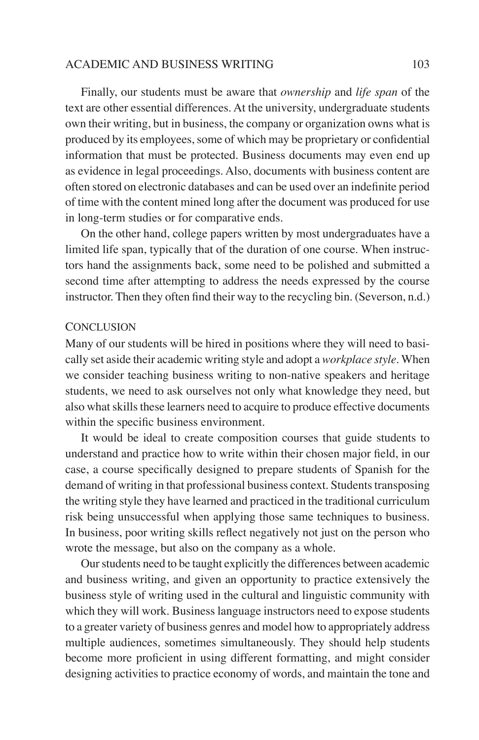#### ACADEMIC AND BUSINESS WRITING 103

Finally, our students must be aware that *ownership* and *life span* of the text are other essential differences. At the university, undergraduate students own their writing, but in business, the company or organization owns what is produced by its employees, some of which may be proprietary or confidential information that must be protected. Business documents may even end up as evidence in legal proceedings. Also, documents with business content are often stored on electronic databases and can be used over an indefinite period of time with the content mined long after the document was produced for use in long-term studies or for comparative ends.

On the other hand, college papers written by most undergraduates have a limited life span, typically that of the duration of one course. When instructors hand the assignments back, some need to be polished and submitted a second time after attempting to address the needs expressed by the course instructor. Then they often find their way to the recycling bin. (Severson, n.d.)

#### **CONCLUSION**

Many of our students will be hired in positions where they will need to basically set aside their academic writing style and adopt a *workplace style*. When we consider teaching business writing to non-native speakers and heritage students, we need to ask ourselves not only what knowledge they need, but also what skills these learners need to acquire to produce effective documents within the specific business environment.

It would be ideal to create composition courses that guide students to understand and practice how to write within their chosen major field, in our case, a course specifically designed to prepare students of Spanish for the demand of writing in that professional business context. Students transposing the writing style they have learned and practiced in the traditional curriculum risk being unsuccessful when applying those same techniques to business. In business, poor writing skills reflect negatively not just on the person who wrote the message, but also on the company as a whole.

Our students need to be taught explicitly the differences between academic and business writing, and given an opportunity to practice extensively the business style of writing used in the cultural and linguistic community with which they will work. Business language instructors need to expose students to a greater variety of business genres and model how to appropriately address multiple audiences, sometimes simultaneously. They should help students become more proficient in using different formatting, and might consider designing activities to practice economy of words, and maintain the tone and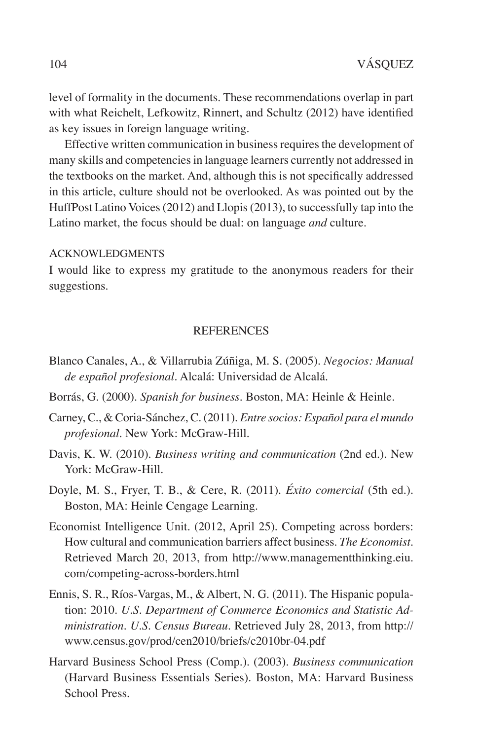level of formality in the documents. These recommendations overlap in part with what Reichelt, Lefkowitz, Rinnert, and Schultz (2012) have identified as key issues in foreign language writing.

Effective written communication in business requires the development of many skills and competencies in language learners currently not addressed in the textbooks on the market. And, although this is not specifically addressed in this article, culture should not be overlooked. As was pointed out by the HuffPost Latino Voices (2012) and Llopis (2013), to successfully tap into the Latino market, the focus should be dual: on language *and* culture.

#### Acknowledgments

I would like to express my gratitude to the anonymous readers for their suggestions.

#### **REFERENCES**

- Blanco Canales, A., & Villarrubia Zúñiga, M. S. (2005). *Negocios: Manual de español profesional*. Alcalá: Universidad de Alcalá.
- Borrás, G. (2000). *Spanish for business*. Boston, MA: Heinle & Heinle.
- Carney, C., & Coria-Sánchez, C. (2011). *Entre socios: Español para el mundo profesional*. New York: McGraw-Hill.
- Davis, K. W. (2010). *Business writing and communication* (2nd ed.). New York: McGraw-Hill.
- Doyle, M. S., Fryer, T. B., & Cere, R. (2011). *Éxito comercial* (5th ed.). Boston, MA: Heinle Cengage Learning.
- Economist Intelligence Unit. (2012, April 25). Competing across borders: How cultural and communication barriers affect business. *The Economist*. Retrieved March 20, 2013, from http://www.managementthinking.eiu. com/competing-across-borders.html
- Ennis, S. R., Ríos-Vargas, M., & Albert, N. G. (2011). The Hispanic population: 2010. *U.S. Department of Commerce Economics and Statistic Administration. U.S. Census Bureau*. Retrieved July 28, 2013, from http:// www.census.gov/prod/cen2010/briefs/c2010br-04.pdf
- Harvard Business School Press (Comp.). (2003). *Business communication* (Harvard Business Essentials Series). Boston, MA: Harvard Business School Press.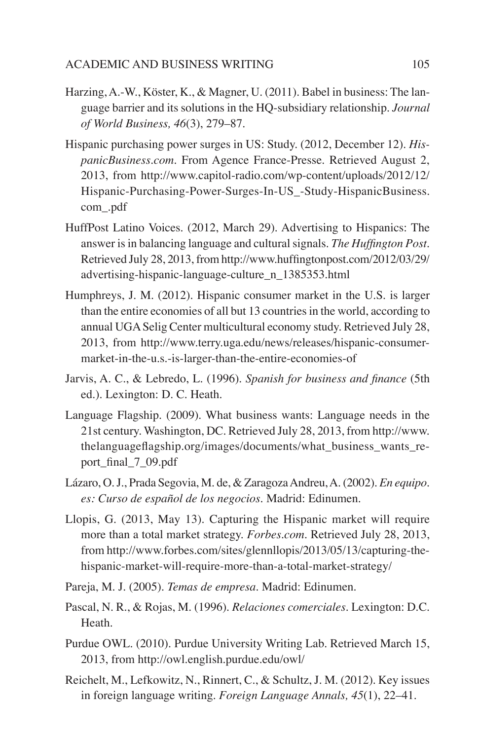- Harzing, A.-W., Köster, K., & Magner, U. (2011). Babel in business: The language barrier and its solutions in the HQ-subsidiary relationship. *Journal of World Business, 46*(3), 279–87.
- Hispanic purchasing power surges in US: Study. (2012, December 12). *HispanicBusiness.com*. From Agence France-Presse. Retrieved August 2, 2013, from http://www.capitol-radio.com/wp-content/uploads/2012/12/ Hispanic-Purchasing-Power-Surges-In-US\_-Study-HispanicBusiness. com\_.pdf
- HuffPost Latino Voices. (2012, March 29). Advertising to Hispanics: The answer is in balancing language and cultural signals. *The Huffington Post*. Retrieved July 28, 2013, from http://www.huffingtonpost.com/2012/03/29/ advertising-hispanic-language-culture\_n\_1385353.html
- Humphreys, J. M. (2012). Hispanic consumer market in the U.S. is larger than the entire economies of all but 13 countries in the world, according to annual UGA Selig Center multicultural economy study. Retrieved July 28, 2013, from http://www.terry.uga.edu/news/releases/hispanic-consumermarket-in-the-u.s.-is-larger-than-the-entire-economies-of
- Jarvis, A. C., & Lebredo, L. (1996). *Spanish for business and finance* (5th ed.). Lexington: D. C. Heath.
- Language Flagship. (2009). What business wants: Language needs in the 21st century. Washington, DC. Retrieved July 28, 2013, from http://www. thelanguageflagship.org/images/documents/what\_business\_wants\_report\_final\_7\_09.pdf
- Lázaro, O. J., Prada Segovia, M. de, & Zaragoza Andreu, A. (2002). *En equipo. es: Curso de español de los negocios.* Madrid: Edinumen.
- Llopis, G. (2013, May 13). Capturing the Hispanic market will require more than a total market strategy. *Forbes.com.* Retrieved July 28, 2013, from http://www.forbes.com/sites/glennllopis/2013/05/13/capturing-thehispanic-market-will-require-more-than-a-total-market-strategy/
- Pareja, M. J. (2005). *Temas de empresa*. Madrid: Edinumen.
- Pascal, N. R., & Rojas, M. (1996). *Relaciones comerciales*. Lexington: D.C. Heath.
- Purdue OWL. (2010). Purdue University Writing Lab. Retrieved March 15, 2013, from http://owl.english.purdue.edu/owl/
- Reichelt, M., Lefkowitz, N., Rinnert, C., & Schultz, J. M. (2012). Key issues in foreign language writing. *Foreign Language Annals, 45*(1), 22–41.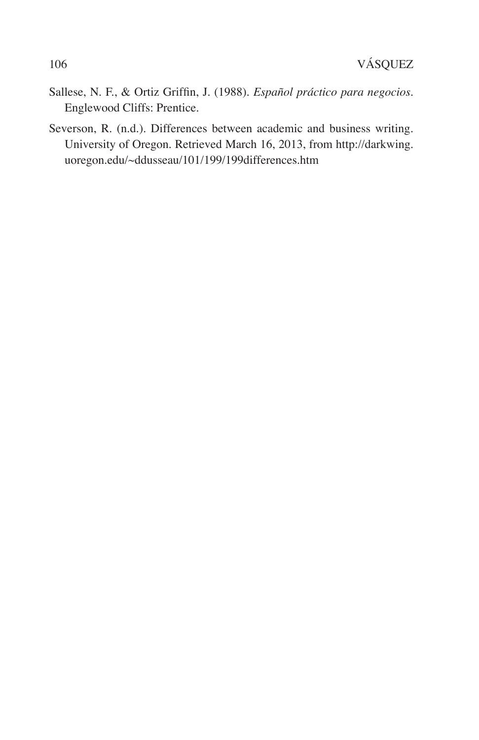- Sallese, N. F., & Ortiz Griffin, J. (1988). *Español práctico para negocios*. Englewood Cliffs: Prentice.
- Severson, R. (n.d.). Differences between academic and business writing*.* University of Oregon. Retrieved March 16, 2013, from http://darkwing. uoregon.edu/~ddusseau/101/199/199differences.htm